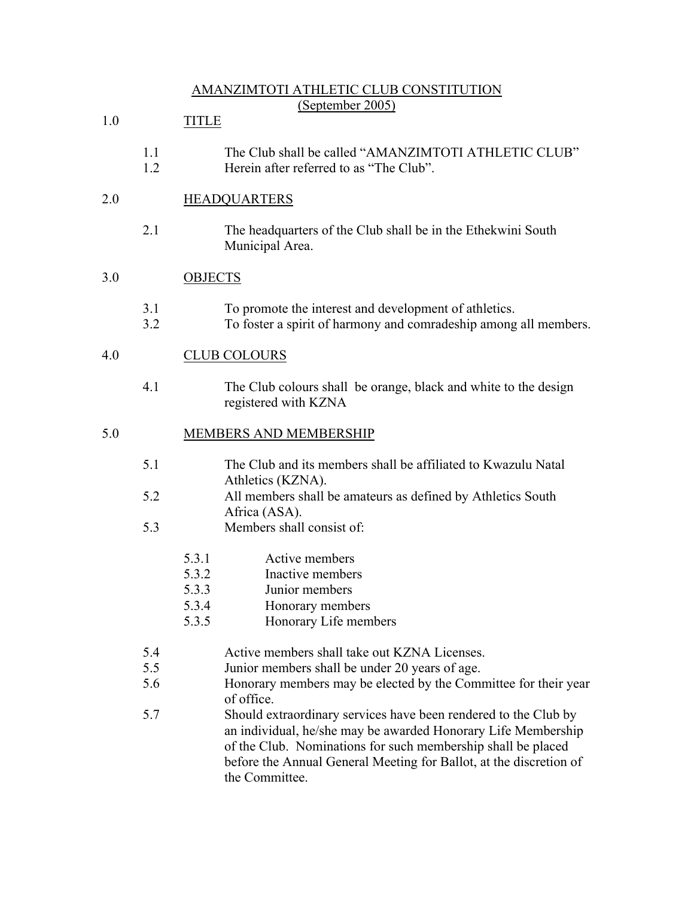# AMANZIMTOTI ATHLETIC CLUB CONSTITUTION (September 2005)

| 1.0 |            | <b>TITLE</b>                                                                                                                                                                                                                                                                             |  |  |
|-----|------------|------------------------------------------------------------------------------------------------------------------------------------------------------------------------------------------------------------------------------------------------------------------------------------------|--|--|
|     | 1.1<br>1.2 | The Club shall be called "AMANZIMTOTI ATHLETIC CLUB"<br>Herein after referred to as "The Club".                                                                                                                                                                                          |  |  |
| 2.0 |            | <b>HEADQUARTERS</b>                                                                                                                                                                                                                                                                      |  |  |
|     | 2.1        | The headquarters of the Club shall be in the Ethekwini South<br>Municipal Area.                                                                                                                                                                                                          |  |  |
| 3.0 |            | <b>OBJECTS</b>                                                                                                                                                                                                                                                                           |  |  |
|     | 3.1<br>3.2 | To promote the interest and development of athletics.<br>To foster a spirit of harmony and comradeship among all members.                                                                                                                                                                |  |  |
| 4.0 |            | <b>CLUB COLOURS</b>                                                                                                                                                                                                                                                                      |  |  |
|     | 4.1        | The Club colours shall be orange, black and white to the design<br>registered with KZNA                                                                                                                                                                                                  |  |  |
| 5.0 |            | MEMBERS AND MEMBERSHIP                                                                                                                                                                                                                                                                   |  |  |
|     | 5.1        | The Club and its members shall be affiliated to Kwazulu Natal<br>Athletics (KZNA).                                                                                                                                                                                                       |  |  |
|     | 5.2        | All members shall be amateurs as defined by Athletics South<br>Africa (ASA).                                                                                                                                                                                                             |  |  |
|     | 5.3        | Members shall consist of:                                                                                                                                                                                                                                                                |  |  |
|     |            | 5.3.1<br>Active members                                                                                                                                                                                                                                                                  |  |  |
|     |            | 5.3.2<br>Inactive members                                                                                                                                                                                                                                                                |  |  |
|     |            | 5.3.3<br>Junior members                                                                                                                                                                                                                                                                  |  |  |
|     |            | 5.3.4<br>Honorary members                                                                                                                                                                                                                                                                |  |  |
|     |            | 5.3.5<br>Honorary Life members                                                                                                                                                                                                                                                           |  |  |
|     | 5.4        | Active members shall take out KZNA Licenses.                                                                                                                                                                                                                                             |  |  |
|     | 5.5        | Junior members shall be under 20 years of age.                                                                                                                                                                                                                                           |  |  |
|     | 5.6        | Honorary members may be elected by the Committee for their year<br>of office.                                                                                                                                                                                                            |  |  |
|     | 5.7        | Should extraordinary services have been rendered to the Club by<br>an individual, he/she may be awarded Honorary Life Membership<br>of the Club. Nominations for such membership shall be placed<br>before the Annual General Meeting for Ballot, at the discretion of<br>the Committee. |  |  |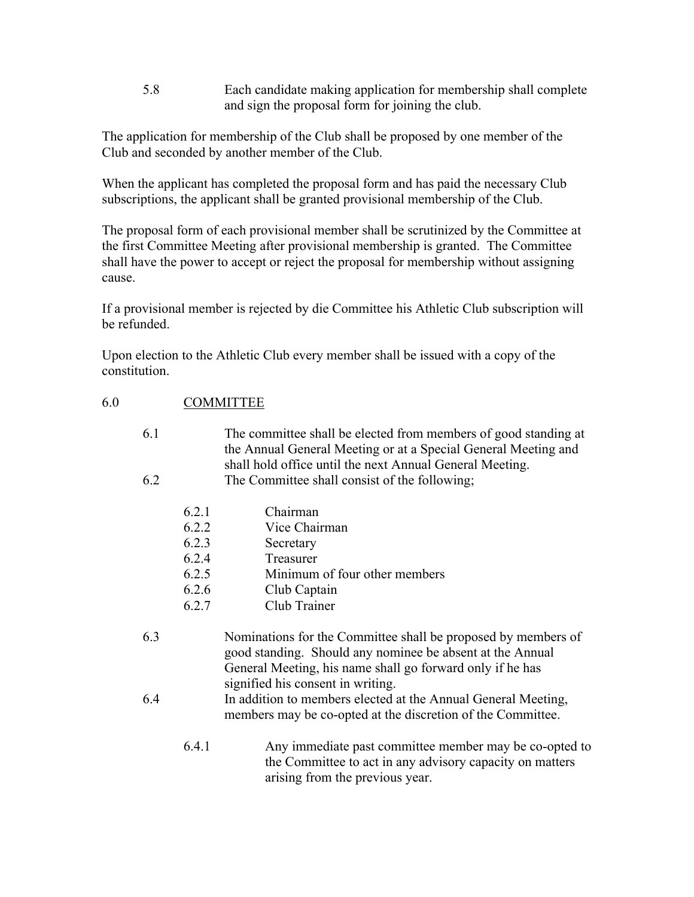5.8 Each candidate making application for membership shall complete and sign the proposal form for joining the club.

The application for membership of the Club shall be proposed by one member of the Club and seconded by another member of the Club.

When the applicant has completed the proposal form and has paid the necessary Club subscriptions, the applicant shall be granted provisional membership of the Club.

The proposal form of each provisional member shall be scrutinized by the Committee at the first Committee Meeting after provisional membership is granted. The Committee shall have the power to accept or reject the proposal for membership without assigning cause.

If a provisional member is rejected by die Committee his Athletic Club subscription will be refunded.

Upon election to the Athletic Club every member shall be issued with a copy of the constitution.

| 6.0 | <b>COMMITTEE</b> |  |
|-----|------------------|--|
|-----|------------------|--|

| 6.1 |       | The committee shall be elected from members of good standing at<br>the Annual General Meeting or at a Special General Meeting and<br>shall hold office until the next Annual General Meeting. |
|-----|-------|-----------------------------------------------------------------------------------------------------------------------------------------------------------------------------------------------|
| 6.2 |       | The Committee shall consist of the following;                                                                                                                                                 |
|     | 6.2.1 | Chairman                                                                                                                                                                                      |
|     | 6.2.2 | Vice Chairman                                                                                                                                                                                 |
|     | 6.2.3 | Secretary                                                                                                                                                                                     |
|     | 6.2.4 | Treasurer                                                                                                                                                                                     |
|     | 6.2.5 | Minimum of four other members                                                                                                                                                                 |
|     | 6.2.6 | Club Captain                                                                                                                                                                                  |
|     | 6.2.7 | Club Trainer                                                                                                                                                                                  |
| 6.3 |       | Nominations for the Committee shall be proposed by members of<br>good standing. Should any nominee be absent at the Annual<br>General Meeting, his name shall go forward only if he has       |
|     |       | signified his consent in writing.                                                                                                                                                             |
| 6.4 |       | In addition to members elected at the Annual General Meeting,<br>members may be co-opted at the discretion of the Committee.                                                                  |
|     | 6.4.1 | Any immediate past committee member may be co-opted to<br>the Committee to act in any advisory capacity on matters                                                                            |

arising from the previous year.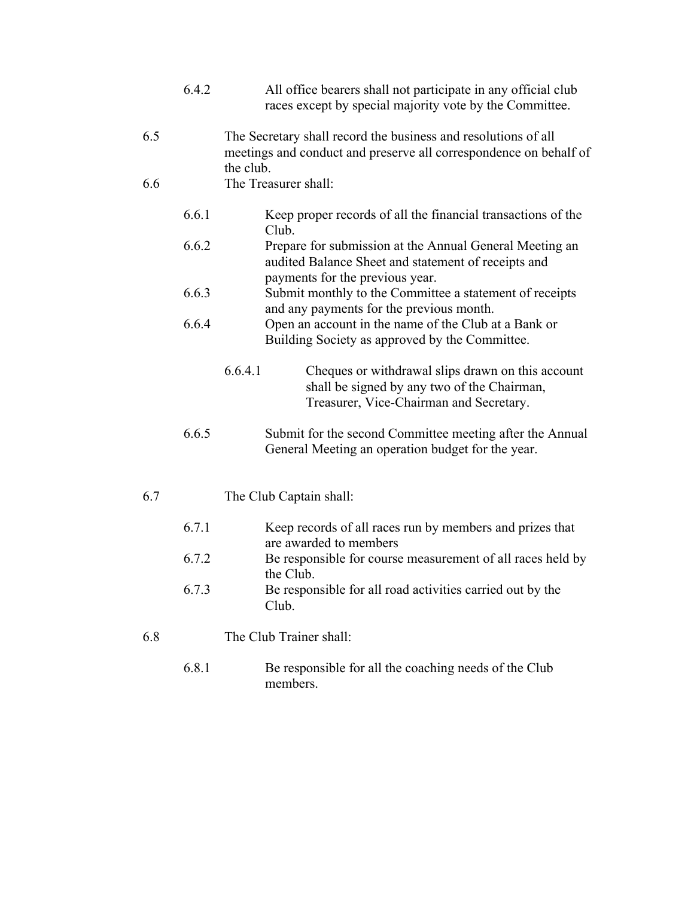|     | 6.4.2 | All office bearers shall not participate in any official club<br>races except by special majority vote by the Committee.                               |
|-----|-------|--------------------------------------------------------------------------------------------------------------------------------------------------------|
| 6.5 |       | The Secretary shall record the business and resolutions of all<br>meetings and conduct and preserve all correspondence on behalf of<br>the club.       |
| 6.6 |       | The Treasurer shall:                                                                                                                                   |
|     | 6.6.1 | Keep proper records of all the financial transactions of the<br>Club.                                                                                  |
|     | 6.6.2 | Prepare for submission at the Annual General Meeting an<br>audited Balance Sheet and statement of receipts and<br>payments for the previous year.      |
|     | 6.6.3 | Submit monthly to the Committee a statement of receipts<br>and any payments for the previous month.                                                    |
|     | 6.6.4 | Open an account in the name of the Club at a Bank or<br>Building Society as approved by the Committee.                                                 |
|     |       | 6.6.4.1<br>Cheques or withdrawal slips drawn on this account<br>shall be signed by any two of the Chairman,<br>Treasurer, Vice-Chairman and Secretary. |
|     | 6.6.5 | Submit for the second Committee meeting after the Annual<br>General Meeting an operation budget for the year.                                          |
| 6.7 |       | The Club Captain shall:                                                                                                                                |
|     | 6.7.1 | Keep records of all races run by members and prizes that<br>are awarded to members                                                                     |
|     | 6.7.2 | Be responsible for course measurement of all races held by<br>the Club.                                                                                |
|     | 6.7.3 | Be responsible for all road activities carried out by the<br>Club.                                                                                     |
| 6.8 |       | The Club Trainer shall:                                                                                                                                |
|     | 6.8.1 | Be responsible for all the coaching needs of the Club<br>members.                                                                                      |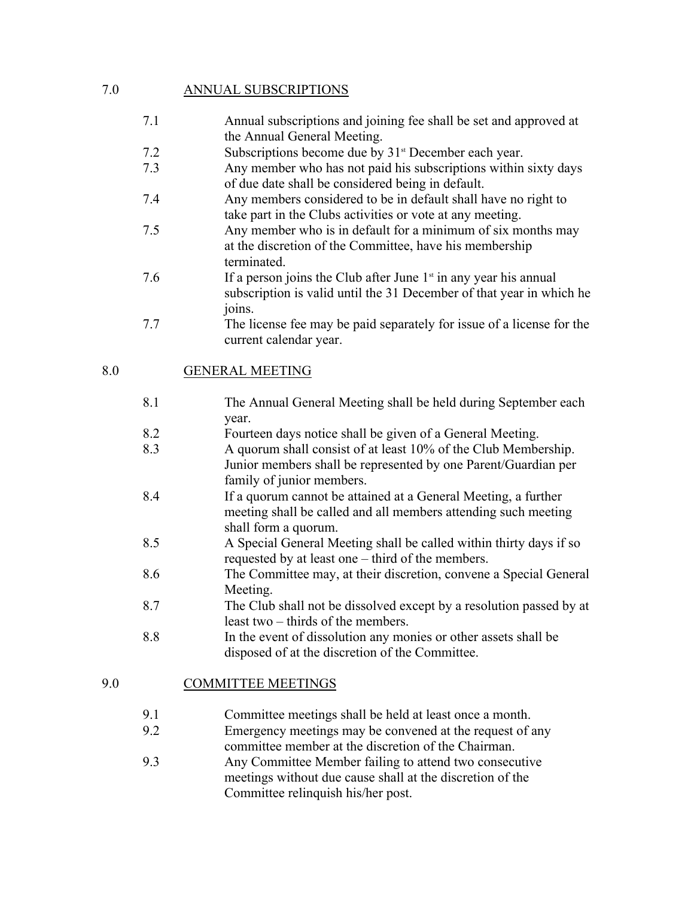# 7.0 ANNUAL SUBSCRIPTIONS

- 7.1 Annual subscriptions and joining fee shall be set and approved at the Annual General Meeting.
- 7.2 Subscriptions become due by 31<sup>st</sup> December each year.
- 7.3 Any member who has not paid his subscriptions within sixty days of due date shall be considered being in default.
- 7.4 Any members considered to be in default shall have no right to take part in the Clubs activities or vote at any meeting.
- 7.5 Any member who is in default for a minimum of six months may at the discretion of the Committee, have his membership terminated.
- 7.6 If a person joins the Club after June  $1<sup>st</sup>$  in any year his annual subscription is valid until the 31 December of that year in which he joins.
- 7.7 The license fee may be paid separately for issue of a license for the current calendar year.

### 8.0 GENERAL MEETING

- 8.1 The Annual General Meeting shall be held during September each year.
- 8.2 Fourteen days notice shall be given of a General Meeting.
- 8.3 A quorum shall consist of at least 10% of the Club Membership. Junior members shall be represented by one Parent/Guardian per family of junior members.
- 8.4 If a quorum cannot be attained at a General Meeting, a further meeting shall be called and all members attending such meeting shall form a quorum.
- 8.5 A Special General Meeting shall be called within thirty days if so requested by at least one – third of the members.
- 8.6 The Committee may, at their discretion, convene a Special General Meeting.
- 8.7 The Club shall not be dissolved except by a resolution passed by at least two – thirds of the members.
- 8.8 In the event of dissolution any monies or other assets shall be disposed of at the discretion of the Committee.

### 9.0 COMMITTEE MEETINGS

- 9.1 Committee meetings shall be held at least once a month.
- 9.2 Emergency meetings may be convened at the request of any committee member at the discretion of the Chairman.
- 9.3 Any Committee Member failing to attend two consecutive meetings without due cause shall at the discretion of the Committee relinquish his/her post.